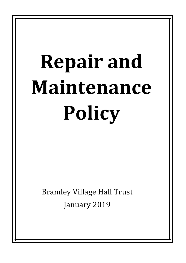## **Repair and Maintenance Policy**

**Bramley Village Hall Trust** January 2019